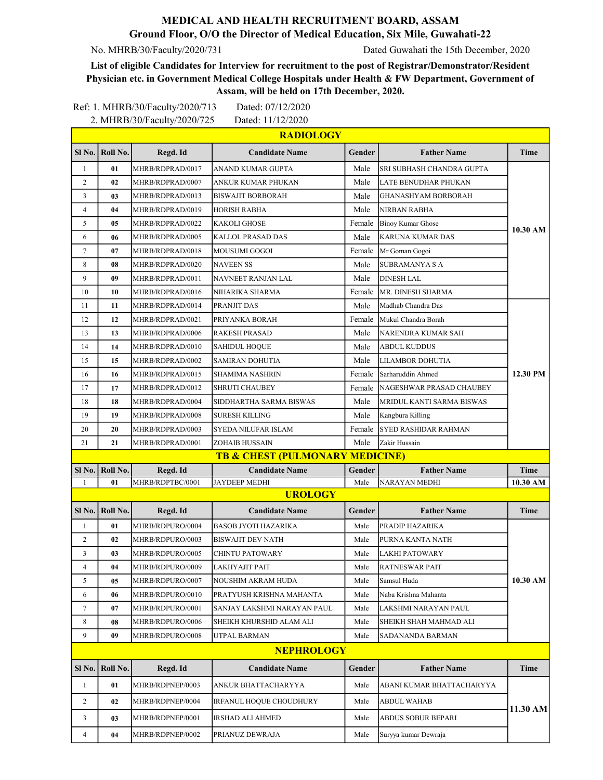## MEDICAL AND HEALTH RECRUITMENT BOARD, ASSAM Ground Floor, O/O the Director of Medical Education, Six Mile, Guwahati-22

No. MHRB/30/Faculty/2020/731 Dated Guwahati the 15th December, 2020

List of eligible Candidates for Interview for recruitment to the post of Registrar/Demonstrator/Resident Physician etc. in Government Medical College Hospitals under Health & FW Department, Government of Assam, will be held on 17th December, 2020.

|                   |                   | Ref: 1. MHRB/30/Faculty/2020/713 | Dated: 07/12/2020                          |               |                             |             |  |  |  |  |
|-------------------|-------------------|----------------------------------|--------------------------------------------|---------------|-----------------------------|-------------|--|--|--|--|
|                   |                   | 2. MHRB/30/Faculty/2020/725      | Dated: 11/12/2020<br><b>RADIOLOGY</b>      |               |                             |             |  |  |  |  |
|                   |                   |                                  |                                            |               |                             |             |  |  |  |  |
|                   | SI No.   Roll No. | Regd. Id                         | <b>Candidate Name</b>                      | <b>Gender</b> | <b>Father Name</b>          | Time        |  |  |  |  |
| 1                 | 01                | MHRB/RDPRAD/0017                 | ANAND KUMAR GUPTA                          | Male          | SRI SUBHASH CHANDRA GUPTA   | 10.30 AM    |  |  |  |  |
| 2                 | 02                | MHRB/RDPRAD/0007                 | ANKUR KUMAR PHUKAN                         | Male          | LATE BENUDHAR PHUKAN        |             |  |  |  |  |
| 3                 | 03                | MHRB/RDPRAD/0013                 | BISWAJIT BORBORAH                          | Male          | GHANASHYAM BORBORAH         |             |  |  |  |  |
| $\overline{4}$    | 04                | MHRB/RDPRAD/0019                 | HORISH RABHA                               | Male          | <b>NIRBAN RABHA</b>         |             |  |  |  |  |
| 5                 | 05                | MHRB/RDPRAD/0022                 | <b>KAKOLI GHOSE</b>                        | Female        | <b>Binoy Kumar Ghose</b>    |             |  |  |  |  |
| 6                 | 06                | MHRB/RDPRAD/0005                 | KALLOL PRASAD DAS                          | Male          | KARUNA KUMAR DAS            |             |  |  |  |  |
| $7\phantom{.0}$   | 07                | MHRB/RDPRAD/0018                 | MOUSUMI GOGOI                              | Female        | Mr Goman Gogoi              |             |  |  |  |  |
| 8                 | 08                | MHRB/RDPRAD/0020                 | <b>NAVEEN SS</b>                           | Male          | <b>SUBRAMANYA S A</b>       |             |  |  |  |  |
| 9                 | 09                | MHRB/RDPRAD/0011                 | NAVNEET RANJAN LAL                         | Male          | <b>DINESH LAL</b>           |             |  |  |  |  |
| 10                | 10                | MHRB/RDPRAD/0016                 | NIHARIKA SHARMA                            | Female        | MR. DINESH SHARMA           |             |  |  |  |  |
| 11                | 11                | MHRB/RDPRAD/0014                 | PRANJIT DAS                                | Male          | Madhab Chandra Das          | 12.30 PM    |  |  |  |  |
| 12                | 12                | MHRB/RDPRAD/0021                 | PRIYANKA BORAH                             | Female        | Mukul Chandra Borah         |             |  |  |  |  |
| 13                | 13                | MHRB/RDPRAD/0006                 | RAKESH PRASAD                              | Male          | NARENDRA KUMAR SAH          |             |  |  |  |  |
| 14                | 14                | MHRB/RDPRAD/0010                 | <b>SAHIDUL HOQUE</b>                       | Male          | <b>ABDUL KUDDUS</b>         |             |  |  |  |  |
| 15                | 15                | MHRB/RDPRAD/0002                 | SAMIRAN DOHUTIA                            | Male          | LILAMBOR DOHUTIA            |             |  |  |  |  |
| 16                | 16                | MHRB/RDPRAD/0015                 | SHAMIMA NASHRIN                            | Female        | Sarharuddin Ahmed           |             |  |  |  |  |
| 17                | 17                | MHRB/RDPRAD/0012                 | <b>SHRUTI CHAUBEY</b>                      | Female        | NAGESHWAR PRASAD CHAUBEY    |             |  |  |  |  |
| 18                | 18                | MHRB/RDPRAD/0004                 | SIDDHARTHA SARMA BISWAS                    | Male          | MRIDUL KANTI SARMA BISWAS   |             |  |  |  |  |
| 19                | 19                | MHRB/RDPRAD/0008                 | SURESH KILLING                             | Male          | Kangbura Killing            |             |  |  |  |  |
| 20                | 20                | MHRB/RDPRAD/0003                 | SYEDA NILUFAR ISLAM                        | Female        | <b>SYED RASHIDAR RAHMAN</b> |             |  |  |  |  |
| 21                | 21                | MHRB/RDPRAD/0001                 | ZOHAIB HUSSAIN                             | Male          | Zakir Hussain               |             |  |  |  |  |
|                   |                   |                                  | <b>TB &amp; CHEST (PULMONARY MEDICINE)</b> |               |                             |             |  |  |  |  |
| $S1$ No.          | Roll No.          | Regd. Id                         | <b>Candidate Name</b>                      | Gender        | <b>Father Name</b>          | <b>Time</b> |  |  |  |  |
| 1                 | 01                | MHRB/RDPTBC/0001                 | <b>JAYDEEP MEDHI</b>                       | Male          | NARAYAN MEDHI               | 10.30 AM    |  |  |  |  |
|                   |                   |                                  | <b>UROLOGY</b>                             |               |                             |             |  |  |  |  |
|                   | SI No.   Roll No. | Regd. Id                         | <b>Candidate Name</b>                      | Gender        | <b>Father Name</b>          | <b>Time</b> |  |  |  |  |
| 1                 | 01                | MHRB/RDPURO/0004                 | <b>BASOB JYOTI HAZARIKA</b>                | Male          | PRADIP HAZARIKA             | 10.30 AM    |  |  |  |  |
| $\sqrt{2}$        | 02                | MHRB/RDPURO/0003                 | <b>BISWAJIT DEV NATH</b>                   | Male          | PURNA KANTA NATH            |             |  |  |  |  |
| 3                 | 03                | MHRB/RDPURO/0005                 | CHINTU PATOWARY                            | Male          | LAKHI PATOWARY              |             |  |  |  |  |
| 4                 | 04                | MHRB/RDPURO/0009                 | LAKHYAJIT PAIT                             | Male          | RATNESWAR PAIT              |             |  |  |  |  |
| 5                 | 05                | MHRB/RDPURO/0007                 | NOUSHIM AKRAM HUDA                         | Male          | Samsul Huda                 |             |  |  |  |  |
| 6                 | 06                | MHRB/RDPURO/0010                 | PRATYUSH KRISHNA MAHANTA                   | Male          | Naba Krishna Mahanta        |             |  |  |  |  |
| $\tau$            | 07                | MHRB/RDPURO/0001                 | SANJAY LAKSHMI NARAYAN PAUL                | Male          | LAKSHMI NARAYAN PAUL        |             |  |  |  |  |
| 8                 | 08                | MHRB/RDPURO/0006                 | SHEIKH KHURSHID ALAM ALI                   | Male          | SHEIKH SHAH MAHMAD ALI      |             |  |  |  |  |
| 9                 | 09                | MHRB/RDPURO/0008                 | UTPAL BARMAN                               | Male          | SADANANDA BARMAN            |             |  |  |  |  |
| <b>NEPHROLOGY</b> |                   |                                  |                                            |               |                             |             |  |  |  |  |
| Sl <sub>No.</sub> | Roll No.          | Regd. Id                         | <b>Candidate Name</b>                      | Gender        | <b>Father Name</b>          | Time        |  |  |  |  |
| $\mathbf{1}$      | 01                | MHRB/RDPNEP/0003                 | ANKUR BHATTACHARYYA                        | Male          | ABANI KUMAR BHATTACHARYYA   | 11.30 AM    |  |  |  |  |
| $\overline{c}$    | 02                | MHRB/RDPNEP/0004                 | IRFANUL HOQUE CHOUDHURY                    | Male          | <b>ABDUL WAHAB</b>          |             |  |  |  |  |
|                   |                   |                                  |                                            |               |                             |             |  |  |  |  |
| 3                 | 03                | MHRB/RDPNEP/0001                 | IRSHAD ALI AHMED                           | Male          | ABDUS SOBUR BEPARI          |             |  |  |  |  |